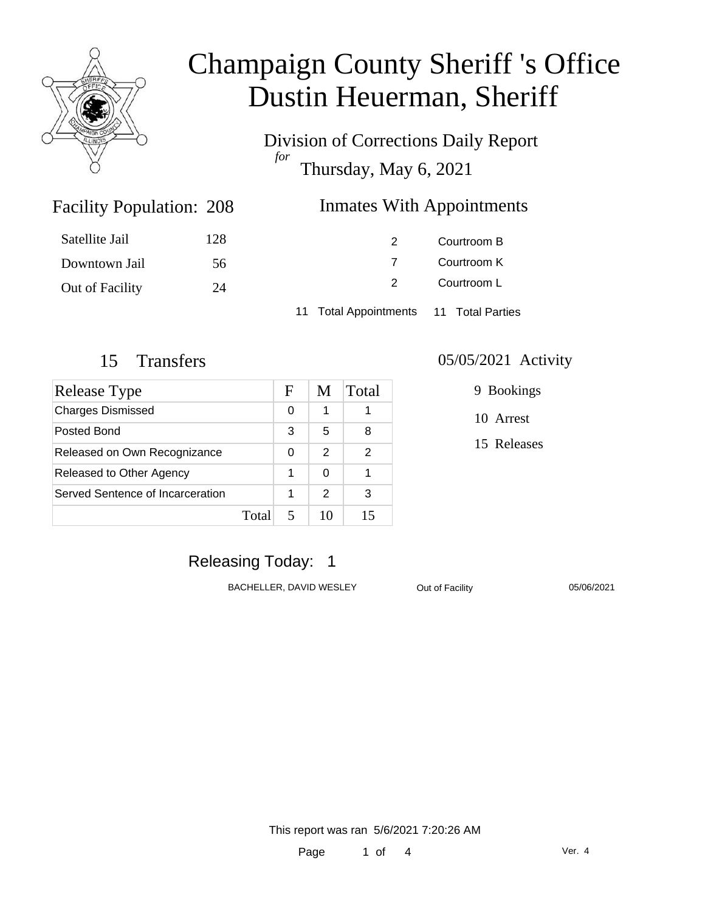

Division of Corrections Daily Report *for* Thursday, May 6, 2021

### Inmates With Appointments

| Satellite Jail  | 128 | $\mathcal{P}$                          | Courtroom B |  |
|-----------------|-----|----------------------------------------|-------------|--|
| Downtown Jail   | 56  |                                        | Courtroom K |  |
| Out of Facility | 24  | $\mathcal{P}$                          | Courtroom L |  |
|                 |     | 11 Total Appointments 11 Total Parties |             |  |

Facility Population: 208

| Release Type                     |      | F | M             | Total |
|----------------------------------|------|---|---------------|-------|
| <b>Charges Dismissed</b>         |      | 0 | 1             |       |
| Posted Bond                      |      | 3 | 5             | 8     |
| Released on Own Recognizance     |      | 0 | $\mathcal{P}$ | 2     |
| Released to Other Agency         |      | 1 | 0             |       |
| Served Sentence of Incarceration |      | 1 | $\mathcal{P}$ | 3     |
|                                  | Tota |   | 10            |       |

#### 15 Transfers 05/05/2021 Activity

9 Bookings

10 Arrest

15 Releases

### Releasing Today: 1

BACHELLER, DAVID WESLEY **Out of Facility** 05/06/2021

This report was ran 5/6/2021 7:20:26 AM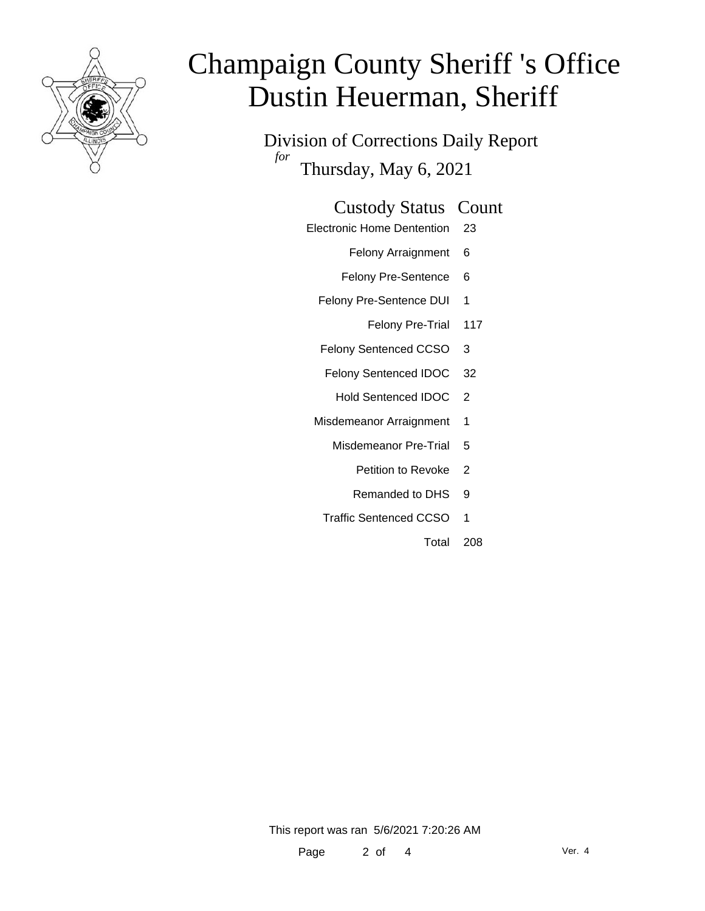

Division of Corrections Daily Report *for* Thursday, May 6, 2021

### Custody Status Count

- Electronic Home Dentention 23
	- Felony Arraignment 6
	- Felony Pre-Sentence 6
	- Felony Pre-Sentence DUI 1
		- Felony Pre-Trial 117
	- Felony Sentenced CCSO 3
	- Felony Sentenced IDOC 32
		- Hold Sentenced IDOC 2
	- Misdemeanor Arraignment 1
		- Misdemeanor Pre-Trial 5
			- Petition to Revoke 2
			- Remanded to DHS 9
		- Traffic Sentenced CCSO 1
			- Total 208

This report was ran 5/6/2021 7:20:26 AM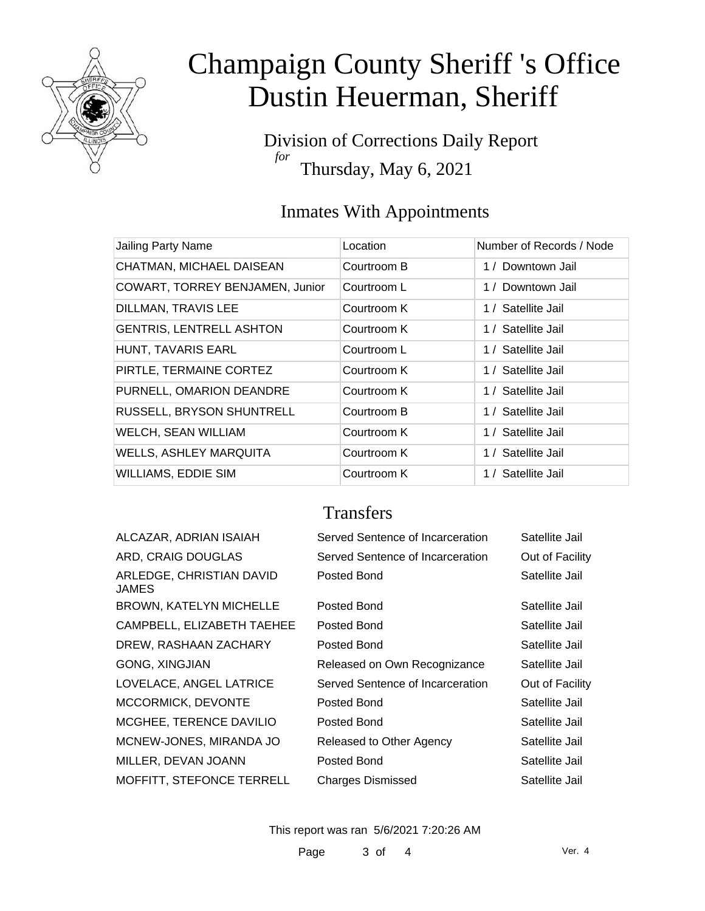

Division of Corrections Daily Report *for* Thursday, May 6, 2021

## Inmates With Appointments

| Jailing Party Name              | Location    | Number of Records / Node |
|---------------------------------|-------------|--------------------------|
| CHATMAN, MICHAEL DAISEAN        | Courtroom B | 1 / Downtown Jail        |
| COWART, TORREY BENJAMEN, Junior | Courtroom L | 1 / Downtown Jail        |
| DILLMAN, TRAVIS LEE             | Courtroom K | 1 / Satellite Jail       |
| <b>GENTRIS, LENTRELL ASHTON</b> | Courtroom K | 1 / Satellite Jail       |
| HUNT, TAVARIS EARL              | Courtroom L | 1 / Satellite Jail       |
| PIRTLE, TERMAINE CORTEZ         | Courtroom K | 1 / Satellite Jail       |
| PURNELL, OMARION DEANDRE        | Courtroom K | 1 / Satellite Jail       |
| RUSSELL, BRYSON SHUNTRELL       | Courtroom B | 1 / Satellite Jail       |
| <b>WELCH, SEAN WILLIAM</b>      | Courtroom K | 1 / Satellite Jail       |
| <b>WELLS, ASHLEY MARQUITA</b>   | Courtroom K | 1 / Satellite Jail       |
| <b>WILLIAMS, EDDIE SIM</b>      | Courtroom K | 1 / Satellite Jail       |

### **Transfers**

| ALCAZAR, ADRIAN ISAIAH                   | Served Sentence of Incarceration | Satellite Jail  |
|------------------------------------------|----------------------------------|-----------------|
| ARD, CRAIG DOUGLAS                       | Served Sentence of Incarceration | Out of Facility |
| ARLEDGE, CHRISTIAN DAVID<br><b>JAMES</b> | Posted Bond                      | Satellite Jail  |
| <b>BROWN, KATELYN MICHELLE</b>           | Posted Bond                      | Satellite Jail  |
| CAMPBELL, ELIZABETH TAEHEE               | Posted Bond                      | Satellite Jail  |
| DREW, RASHAAN ZACHARY                    | Posted Bond                      | Satellite Jail  |
| <b>GONG, XINGJIAN</b>                    | Released on Own Recognizance     | Satellite Jail  |
| LOVELACE, ANGEL LATRICE                  | Served Sentence of Incarceration | Out of Facility |
| MCCORMICK, DEVONTE                       | Posted Bond                      | Satellite Jail  |
| MCGHEE, TERENCE DAVILIO                  | Posted Bond                      | Satellite Jail  |
| MCNEW-JONES, MIRANDA JO                  | Released to Other Agency         | Satellite Jail  |
| MILLER, DEVAN JOANN                      | Posted Bond                      | Satellite Jail  |
| <b>MOFFITT, STEFONCE TERRELL</b>         | <b>Charges Dismissed</b>         | Satellite Jail  |
|                                          |                                  |                 |

This report was ran 5/6/2021 7:20:26 AM